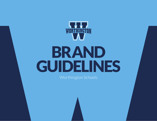

# BRAND GUIDELINES

Worthington Schools

**Worthington Schools** • Brand Guidelines • 1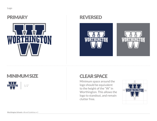

### PRIMARY REVERSED





## **MINIMUM SIZE**



## CLEAR SPACE

Minimum space around the logo should be equivalent to the height of the "W" in Worthington. This allows the logo to standout, and remain clutter free.

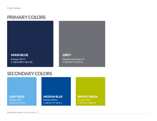## PRIMARY COLORS

#### MAIN BLUE

**Pantone 295 C C 100 M 89 Y 36 K 35**

#### **GREY**

**Pantone Cool Gray 9 C C 56 M 47 Y 44 K 11**

## SECONDARY COLORS

#### LIGHT BLUE **Pantone 292 C C 56 M 16 Y 0 K 0**

#### MEDIUM BLUE **Pantone 2945 C C 100 M 73 Y 20 K 6**

BRIGHT GREEN **Pantone 390 C C 35 M 12 Y 100 K 0**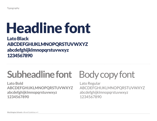# Headline font

## Lato Black ABCDEFGHIJKLMNOPQRSTUVWXYZ abcdefghijklmnopqrstuvwxyz 1234567890

## **Subheadline font**

**Lato Bold ABCDEFGHIJKLMNOPQRSTUVWXYZ abcdefghijklmnopqrstuvwxyz 1234567890**

## Body copy font

Lato Regular ABCDEFGHIJKLMNOPQRSTUVWXYZ abcdefghijklmnopqrstuvwxyz 1234567890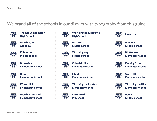### We brand all of the schools in our district with typography from this guide.



Thomas Worthington High School



Worthington Academy



Kilbourne Middle School



**Brookside** Elementary School



Granby Elementary School



Wilson Hill Elementary School



Worthington Park Elementary School



K ₩ ₩ / WORTHINGTON



**Worthingway** Middle School

Middle School

High School

**McCord** 



Colonial Hills Elementary School

Worthington Estates

Worthington Kilbourne

4 J J J **Liberty** WORTHINGTON Elementary School



Elementary School



Sutter Park Preschool

Linworth **WORTHINGTON** 



Phoenix Middle School



**Bluffsview** Elementary School



Evening Street Elementary School



Slate Hill Elementary School



Worthington Hills Elementary School



Perry Middle School